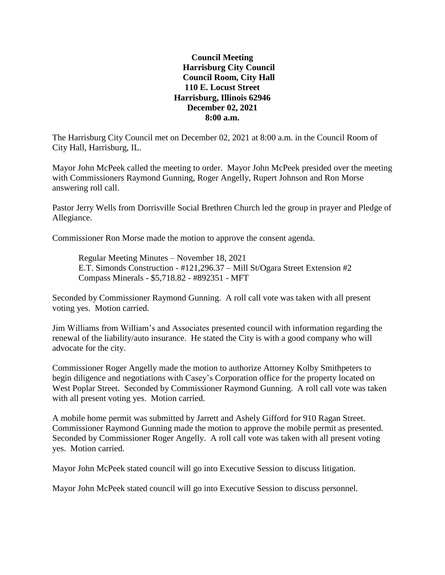## **Council Meeting Harrisburg City Council Council Room, City Hall 110 E. Locust Street Harrisburg, Illinois 62946 December 02, 2021 8:00 a.m.**

The Harrisburg City Council met on December 02, 2021 at 8:00 a.m. in the Council Room of City Hall, Harrisburg, IL.

Mayor John McPeek called the meeting to order. Mayor John McPeek presided over the meeting with Commissioners Raymond Gunning, Roger Angelly, Rupert Johnson and Ron Morse answering roll call.

Pastor Jerry Wells from Dorrisville Social Brethren Church led the group in prayer and Pledge of Allegiance.

Commissioner Ron Morse made the motion to approve the consent agenda.

Regular Meeting Minutes – November 18, 2021 E.T. Simonds Construction - #121,296.37 – Mill St/Ogara Street Extension #2 Compass Minerals - \$5,718.82 - #892351 - MFT

Seconded by Commissioner Raymond Gunning. A roll call vote was taken with all present voting yes. Motion carried.

Jim Williams from William's and Associates presented council with information regarding the renewal of the liability/auto insurance. He stated the City is with a good company who will advocate for the city.

Commissioner Roger Angelly made the motion to authorize Attorney Kolby Smithpeters to begin diligence and negotiations with Casey's Corporation office for the property located on West Poplar Street. Seconded by Commissioner Raymond Gunning. A roll call vote was taken with all present voting yes. Motion carried.

A mobile home permit was submitted by Jarrett and Ashely Gifford for 910 Ragan Street. Commissioner Raymond Gunning made the motion to approve the mobile permit as presented. Seconded by Commissioner Roger Angelly. A roll call vote was taken with all present voting yes. Motion carried.

Mayor John McPeek stated council will go into Executive Session to discuss litigation.

Mayor John McPeek stated council will go into Executive Session to discuss personnel.